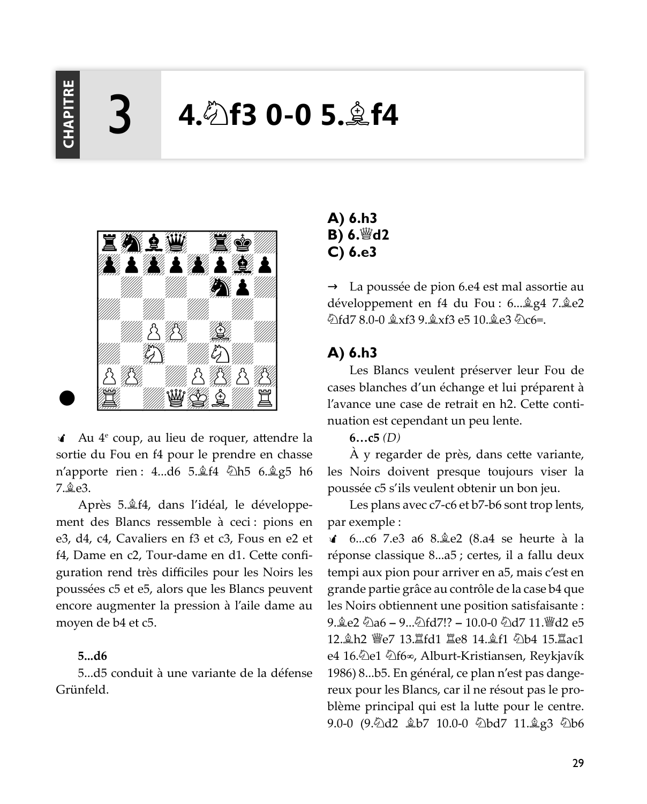**HAPITRI** 

# $4.$  heta 0-0 5.  $*$  f4



 $\triangleleft$  Au  $4^e$  coup, au lieu de roquer, attendre la sortie du Fou en f4 pour le prendre en chasse n'apporte rien : 4...d6 5. $\frac{1}{2}$ f4  $\frac{1}{2}$ h5 6. $\frac{1}{2}$ g5 h6  $7 \& 963$ 

Après 5. $\triangleq$ f4, dans l'idéal, le développement des Blancs ressemble à ceci : pions en e3, d4, c4, Cavaliers en f3 et c3, Fous en e2 et f4, Dame en c2, Tour-dame en d1. Cette configuration rend très difficiles pour les Noirs les poussées c5 et e5, alors que les Blancs peuvent encore augmenter la pression à l'aile dame au moyen de b4 et c5.

#### $5...d6$

5...d5 conduit à une variante de la défense Grünfeld.

 $A)$  6.h3 B)  $6.$  d2  $C$ ) 6.e3

 $\rightarrow$  La poussée de pion 6.e4 est mal assortie au développement en f4 du Fou : 6... \$ g4 7. \$ e2 公fd7 8.0-0 拿xf3 9.拿xf3 e5 10.拿e3 公c6=.

# A) 6.h3

Les Blancs veulent préserver leur Fou de cases blanches d'un échange et lui préparent à l'avance une case de retrait en h2. Cette continuation est cependant un peu lente.

#### $6...c5$  (D)

A y regarder de près, dans cette variante, les Noirs doivent presque toujours viser la poussée c5 s'ils veulent obtenir un bon jeu.

Les plans avec c7-c6 et b7-b6 sont trop lents, par exemple :

√ 6…c6 7.e3 a6 8.羹e2 (8.a4 se heurte à la réponse classique 8...a5 ; certes, il a fallu deux tempi aux pion pour arriver en a5, mais c'est en grande partie grâce au contrôle de la case b4 que les Noirs obtiennent une position satisfaisante : 9. 金e2 勾a6 – 9...勾fd7!? – 10.0-0 勾d7 11. 彎d2 e5 12. h2 曾e7 13. lfd1 le8 14. gf1 2b4 15. lac1 e4 16.⁄2e1 *D*f6∞, Alburt-Kristiansen, Reykjavík 1986) 8...b5. En général, ce plan n'est pas dangereux pour les Blancs, car il ne résout pas le problème principal qui est la lutte pour le centre. 9.0-0 (9.2d2 鱼b7 10.0-0 2bd7 11.鱼g3 2b6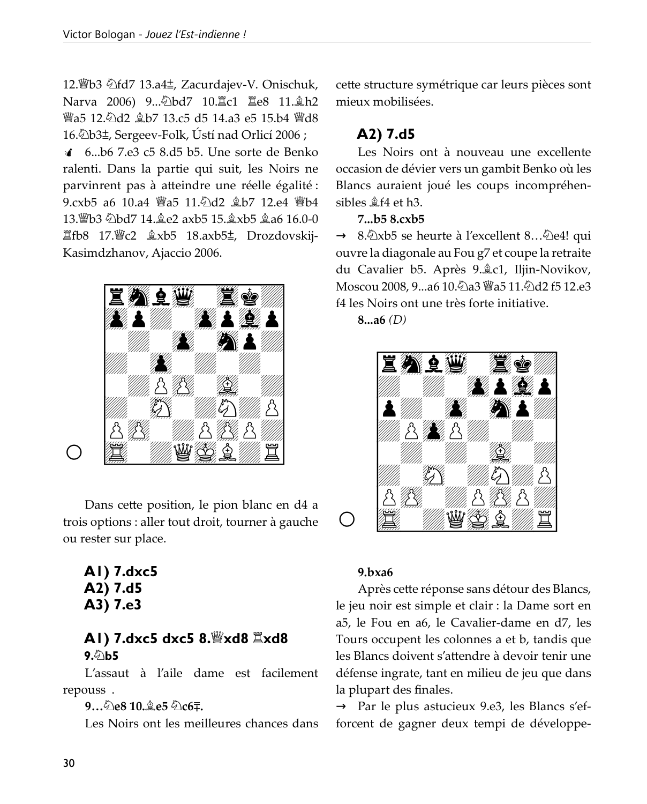12. b3 公fd7 13.a4±, Zacurdajev-V. Onischuk, Narva 2006) 9...2bd7 10. Lc1 里e8 11. gh2 *iia*5 12. ad2 盒b7 13. c5 d5 14. a3 e5 15. b4 iiid8 16. Db3±, Sergeev-Folk, Ústí nad Orlicí 2006;

4 6...b6 7.e3 c5 8.d5 b5. Une sorte de Benko ralenti. Dans la partie qui suit, les Noirs ne parvinrent pas à atteindre une réelle égalité : 9.cxb5 a6 10.a4 響a5 11.2d2 盒b7 12.e4 響b4 13. lbd7 14. 免e2 axb5 15. gxb5 ga6 16.0-0 置fb8 17. lec2 盒xb5 18.axb5±, Drozdovskij-Kasimdzhanov, Ajaccio 2006.



Dans cette position, le pion blanc en d4 a trois options : aller tout droit, tourner à gauche ou rester sur place.

A1) 7.dxc5 A2) 7.d5 A3) 7.e3

# AI) 7.dxc5 dxc5 8. xd8  $\cong$ xd8 9.∕े\Ь5

L'assaut à l'aile dame est facilement repouss.

## 9... 2e8 10. e5 2c6.

Les Noirs ont les meilleures chances dans

cette structure symétrique car leurs pièces sont mieux mobilisées.

# A2) 7.d5

Les Noirs ont à nouveau une excellente occasion de dévier vers un gambit Benko où les Blancs auraient joué les coups incompréhensibles  $$4$  et h3.

# 7...b5 8.cxb5

 $\rightarrow$  8.  $\triangle$ xb5 se heurte à l'excellent 8...  $\triangle$ e4! qui ouvre la diagonale au Fou g7 et coupe la retraite du Cavalier b5. Après 9. êc1, Iljin-Novikov, Moscou 2008, 9…a6 10.۞a3 曾a5 11.۞d2 f5 12.e3 f4 les Noirs ont une très forte initiative.

 $8...a6$  (D)



## $9.$ bxa $6$

Après cette réponse sans détour des Blancs, le jeu noir est simple et clair : la Dame sort en a5, le Fou en a6, le Cavalier-dame en d7, les Tours occupent les colonnes a et b, tandis que les Blancs doivent s'attendre à devoir tenir une défense ingrate, tant en milieu de jeu que dans la plupart des finales.

 $\rightarrow$  Par le plus astucieux 9.e3, les Blancs s'efforcent de gagner deux tempi de développe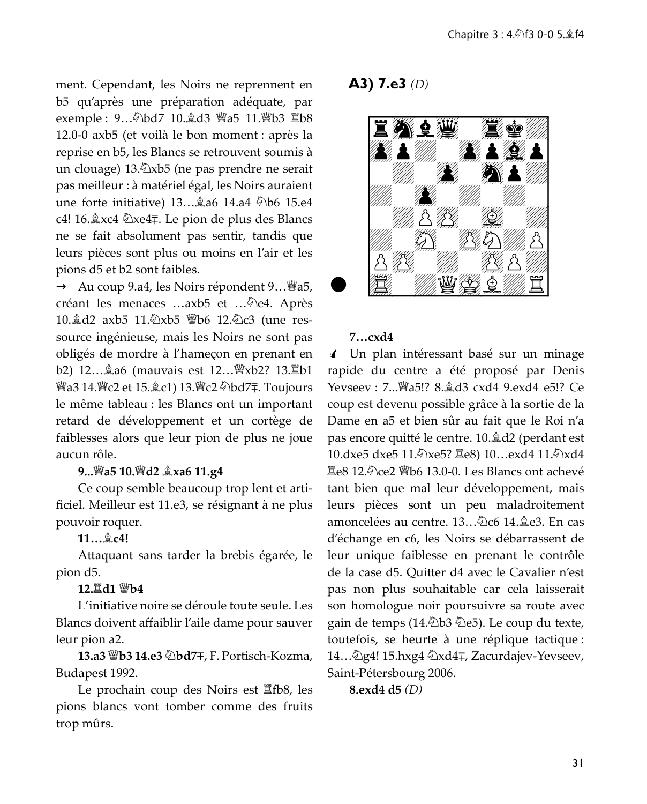ment. Cependant, les Noirs ne reprennent en b5 qu'après une préparation adéquate, par exemple: 9... 2bd7 10. gd3 響a5 11. 響b3 骂b8  $12.0-0$  axb $5$  (et voilà le bon moment : après la reprise en b5, les Blancs se retrouvent soumis à un clouage)  $13.\overline{2}$ xb5 (ne pas prendre ne serait pas meilleur : à matériel égal, les Noirs auraient une forte initiative)  $13...$  a6  $14.a4$   $\&b6$   $15.e4$ @ ?U@ >q^29 - B MFLKAB MIRP ABP #I>K@P ne se fait absolument pas sentir, tandis que leurs pièces sont plus ou moins en l'air et les pions d5 et b2 sont faibles.

 $\rightarrow$  Au coup 9.a4, les Noirs répondent 9...  $\mathscr{B}a5$ , créant les menaces ...axb5 et ... De4. Après 10. d2 axb5 11. 2xb5 \beta 12. 2c3 (une ressource ingénieuse, mais les Noirs ne sont pas obligés de mordre à l'hameçon en prenant en b2) 12... a6 (mauvais est 12... sxb2? 13. Lb1 營a3 14.營c2 et 15.奠c1) 13.營c2 ②bd7∓. Toujours le même tableau : les Blancs ont un important retard de développement et un cortège de faiblesses alors que leur pion de plus ne joue aucun rôle.

## 0&&&-#  -& /8#   )

Ce coup semble beaucoup trop lent et artificiel. Meilleur est 11.e3, se résignant à ne plus pouvoir roquer.

#### 11... gc4!

Attaquant sans tarder la brebis égarée, le pion d<sub>5</sub>.

#### $12.\n\n $\Box$ d $1 \,\mathbb{W}$ b4$

L'initiative noire se déroule toute seule. Les Blancs doivent affaiblir l'aile dame pour sauver leur pion a2.

 # -\$  ' .@B.+ ' 1LOQFP@E, LWJ> Budapest 1992.

Le prochain coup des Noirs est  $\Xi$ fb8, les pions blancs vont tomber comme des fruits trop mûrs.

 $(A3)$  7.e3 (D)



## $7...cxd4$

If Un plan intéressant basé sur un minage rapide du centre a été proposé par Denis V^ol^^o => ?A @UA BUA B \$B coup est devenu possible grâce à la sortie de la Dame en a5 et bien sûr au fait que le Roi n'a pas encore quitté le centre. 10. $\&$  d2 (perdant est 10.dxe5 dxe5 11. lxe5? Ie8) 10...exd4 11. lxd4  $\Xi$ e8 12. $\hat{\varphi}$ ce2  $\hat{\mathfrak{g}}$ b6 13.0-0. Les Blancs ont achevé tant bien que mal leur développement, mais leurs pièces sont un peu maladroitement amoncelées au centre. 13... (2c6 14. ke3. En cas d'échange en c6, les Noirs se débarrassent de leur unique faiblesse en prenant le contrôle de la case d5. Quitter d4 avec le Cavalier n'est pas non plus souhaitable car cela laisserait son homologue noir poursuivre sa route avec gain de temps (14. $\triangle$ b3  $\triangle$ e5). Le coup du texte, toutefois, se heurte à une réplique tactique : 14... [2] g4! 15.hxg4  $\&$ xd4 $\mp$ , Zacurdajev-Yevseev, Saint-Pétersbourg 2006.

8.exd4 d5 (D)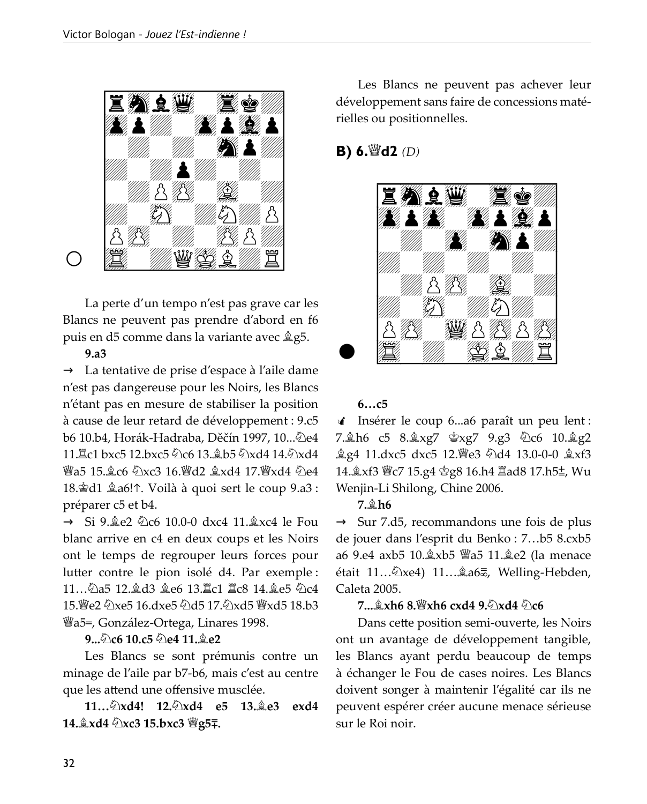

La perte d'un tempo n'est pas grave car les Blancs ne peuvent pas prendre d'abord en f6 puis en d5 comme dans la variante avec  $25$ .

#### $9.a3$

→ La tentative de prise d'espace à l'aile dame n'est pas dangereuse pour les Noirs, les Blancs n'étant pas en mesure de stabiliser la position à cause de leur retard de développement : 9.c5 b6 10.b4, Horák-Hadraba, Děčín 1997, 10... De4 11. Lc1 bxc5 12.bxc5 ②c6 13. 鱼b5 ②xd4 14. ②xd4 曾a5 15. c6 のxc3 16. 曾d2 拿xd4 17. 曾xd4 のe4 18. d1 ĝa6! ↑. Voilà à quoi sert le coup 9. a3 : préparer c5 et b4.

 $\rightarrow$  Si 9.2 e2 2 c6 10.0-0 dxc4 11.2 xc4 le Fou blanc arrive en c4 en deux coups et les Noirs ont le temps de regrouper leurs forces pour lutter contre le pion isolé d4. Par exemple : 11...のa5 12.鼻d3 鼻e6 13.耳c1 耳c8 14.鼻e5 のc4 15. 曾e2 のxe5 16.dxe5 のd5 17.のxd5 曾xd5 18.b3 Wa5=, González-Ortega, Linares 1998.

#### 9... 2c6 10.c5 2e4 11. ge2

Les Blancs se sont prémunis contre un minage de l'aile par b7-b6, mais c'est au centre que les attend une offensive musclée.

11... $\&$ xd4! 12. $\&$ xd4 e5 13. $\&$ e3 exd4 14. xd4 2xc3 15.bxc3 曾g5.

Les Blancs ne peuvent pas achever leur développement sans faire de concessions matérielles ou positionnelles.

# **B)** 6. $\mathscr{C}(D)$



#### $6...c5$

d Insérer le coup 6...a6 paraît un peu lent : 7. h6 c5 8. xg7 \$xg7 9.g3 \$\c6 10. \$g2 奠g4 11.dxc5 dxc5 12. e3 公d4 13.0-0-0 拿xf3 14. xf3 曾c7 15.g4 宫g8 16.h4 lad8 17.h5±, Wu Wenjin-Li Shilong, Chine 2006.

#### 7.盒h6

 $\rightarrow$  Sur 7.d5, recommandons une fois de plus de jouer dans l'esprit du Benko : 7...b5 8.cxb5 était 11... ②xe4) 11... 鱼a6v, Welling-Hebden, Caleta 2005.

## $7 \dots 2 \times h6$  8.  $\cong$  xh6 cxd4 9.  $\otimes$  xd4  $\otimes$  c6

Dans cette position semi-ouverte, les Noirs ont un avantage de développement tangible, les Blancs ayant perdu beaucoup de temps à échanger le Fou de cases noires. Les Blancs doivent songer à maintenir l'égalité car ils ne peuvent espérer créer aucune menace sérieuse sur le Roi noir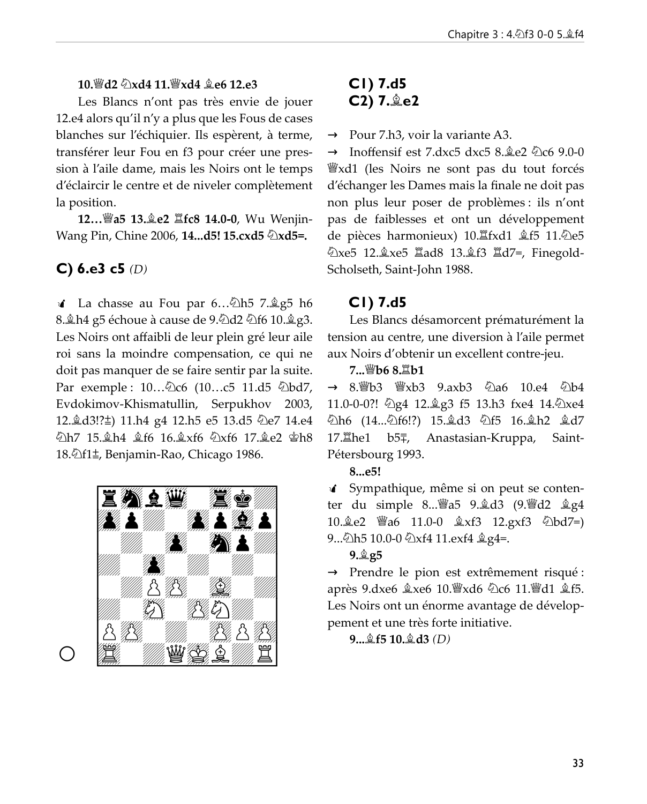#### 10. ode 2xd4 11. hyd4 ge6 12.e3

Les Blancs n'ont pas très envie de jouer 12.e4 alors qu'il n'y a plus que les Fous de cases blanches sur l'échiquier. Ils espèrent, à terme, transférer leur Fou en f3 pour créer une pression à l'aile dame, mais les Noirs ont le temps d'éclaircir le centre et de niveler complètement la position.

12... *sa 13.* ge2 *leg* 14.0-0, Wu Wenjin-Wang Pin, Chine 2006, 14...d5! 15.cxd5 2xd5=.

# C) 6.e3 c5  $(D)$

√ La chasse au Fou par 6...۞h5 7. @g5 h6 8. Lh4 g5 échoue à cause de 9. ed 2 e16 10. g3. Les Noirs ont affaibli de leur plein gré leur aile roi sans la moindre compensation, ce qui ne doit pas manquer de se faire sentir par la suite. Par exemple : 10... 2c6 (10... c5 11.d5 2bd7, Evdokimov-Khismatullin, Serpukhov 2003, 12. d3!? ± 11. h4 g4 12. h5 e5 13. d5 ۞ e7 14. e4 公h7 15.鱼h4 鱼f6 16.鱼xf6 公xf6 17.鱼e2 宫h8 18. Df1±, Benjamin-Rao, Chicago 1986.



# $CI$ ) 7.d5 C2) 7. e2

 $\rightarrow$  Pour 7.h3, voir la variante A3.

Inoffensif est 7.dxc5 dxc5  $8.\&e2 \&06 \;9.0-0$ *W*<sup>xd1</sup> (les Noirs ne sont pas du tout forcés d'échanger les Dames mais la finale ne doit pas non plus leur poser de problèmes : ils n'ont pas de faiblesses et ont un développement de pièces harmonieux) 10. fxd1 盒f5 11. e5 公xe5 12. xe5 Iad8 13. gf3 Id7=, Finegold-Scholseth, Saint-John 1988.

## $CI)$  7.d5

Les Blancs désamorcent prématurément la tension au centre, une diversion à l'aile permet aux Noirs d'obtenir un excellent contre-jeu.

7. 幽b6 8. 耳b1

11.0-0-0?! ②g4 12.奠g3 f5 13.h3 fxe4 14.②xe4 ②h6 (14...④f6!?) 15.皇d3 ②f5 16.皇h2 皇d7 17.罝he1 b5∓, Anastasian-Kruppa, Saint-Pétersbourg 1993.

8...e5!

√ Sympathique, même si on peut se contenter du simple 8... *[8]* a5 9. gd3 (9. *[8]* d2 g4 10.奠e2 *曾a6* 11.0-0 奠xf3 12.gxf3 ②bd7=) 9... Dh 5 10.0-0 Dxf4 11.exf4 \$ g4=.

#### $9.2g5$

→ Prendre le pion est extrêmement risqué : après 9.dxe6 盒xe6 10. sxd6 2c6 11. sd1 盒f5. Les Noirs ont un énorme avantage de développement et une très forte initiative.

 $9...$  $10.2d3(D)$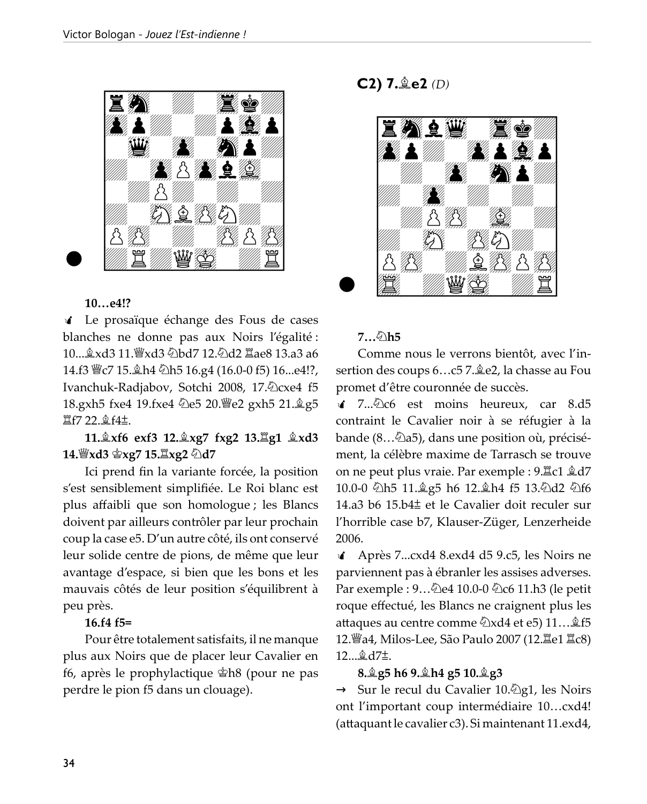

#### $10...e4!?$

I Le prosaïque échange des Fous de cases blanches ne donne pas aux Noirs l'égalité : 10... $\&$ xd3 11.  $\&$ xd3  $\&$ bd7 12. $\&$ d2  $\&$ ae8 13.a3 a6 14.f3 曾c7 15. h4 公h5 16.g4 (16.0-0 f5) 16...e4!?, Ivanchuk-Radjabov, Sotchi 2008, 17.2 cxe4 f5 18.gxh5 fxe4 19.fxe4 2e5 20. e2 gxh5 21. g5  $\Xi$ f7 22. $\hat{\mathbb{E}}$ f4 $\pm$ .

# 11. Åxf6 exf3 12. Åxg7 fxg2 13. Åg1 Åxd3 14. క్రీxd3 క్రీxg7 15. క్ష్యీ2 ⁄ఏd7

Ici prend fin la variante forcée, la position s'est sensiblement simplifiée. Le Roi blanc est plus affaibli que son homologue; les Blancs doivent par ailleurs contrôler par leur prochain coup la case e5. D'un autre côté, ils ont conservé leur solide centre de pions, de même que leur avantage d'espace, si bien que les bons et les mauvais côtés de leur position s'équilibrent à peu près.

#### 16.f4 f5=

Pour être totalement satisfaits, il ne manque plus aux Noirs que de placer leur Cavalier en f6, après le prophylactique  $\hat{\mathbb{E}}$ h8 (pour ne pas perdre le pion f5 dans un clouage).

**C2)**  $7.\n$ **e2** (D)



#### 7…©h5

Comme nous le verrons bientôt, avec l'insertion des coups 6...c5 7. ge2, la chasse au Fou promet d'être couronnée de succès.

 $\triangle$  7.,. $\triangle$ c6 est moins heureux, car 8.d5 contraint le Cavalier noir à se réfugier à la  $b$ ande (8... $\ddot{\triangle}$ a5), dans une position où, précisément, la célèbre maxime de Tarrasch se trouve on ne peut plus vraie. Par exemple :  $9.\overline{2}c1 \hat{2}d7$ 10.0-0 2h5 11. g5 h6 12. gh4 f5 13. 2d2 2f6 14.a3 b6 15.b4 $\pm$  et le Cavalier doit reculer sur l'horrible case b7, Klauser-Züger, Lenzerheide 2006.

 $\triangleleft$  Après 7...cxd4 8.exd4 d5 9.c5, les Noirs ne parviennent pas à ébranler les assises adverses. Par exemple :  $9...\&0e4\;10.0-0\&0f$  of 11.h3 (le petit roque effectué, les Blancs ne craignent plus les attaques au centre comme  $\&$ xd4 et e5) 11... $\&$  f5 12. a4, Milos-Lee, São Paulo 2007 (12. le1 里c8) 12... $\triangleq$ d7±.

#### 8.இg5 h6 9.இh4 g5 10.இg3

 $\rightarrow$  Sur le recul du Cavalier 10. $\hat{\otimes}$ g1, les Noirs ont l'important coup intermédiaire 10...cxd4!  $($ attaquant le cavalier c3 $)$ . Si maintenant 11. exd4,